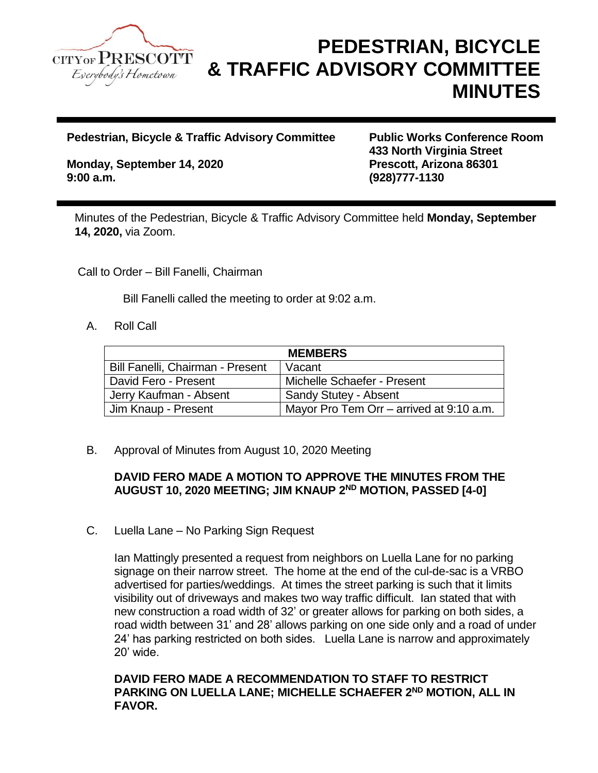

## **PEDESTRIAN, BICYCLE & TRAFFIC ADVISORY COMMITTEE MINUTES**

**Pedestrian, Bicycle & Traffic Advisory Committee Public Works Conference Room**

**Monday, September 14, 2020 Prescott, Arizona 86301 9:00 a.m. (928)777-1130**

**433 North Virginia Street**

Minutes of the Pedestrian, Bicycle & Traffic Advisory Committee held **Monday, September 14, 2020,** via Zoom.

Call to Order – Bill Fanelli, Chairman

Bill Fanelli called the meeting to order at 9:02 a.m.

A. Roll Call

| <b>MEMBERS</b>                   |                                          |
|----------------------------------|------------------------------------------|
| Bill Fanelli, Chairman - Present | Vacant                                   |
| David Fero - Present             | Michelle Schaefer - Present              |
| Jerry Kaufman - Absent           | Sandy Stutey - Absent                    |
| Jim Knaup - Present              | Mayor Pro Tem Orr – arrived at 9:10 a.m. |

B. Approval of Minutes from August 10, 2020 Meeting

## **DAVID FERO MADE A MOTION TO APPROVE THE MINUTES FROM THE AUGUST 10, 2020 MEETING; JIM KNAUP 2 ND MOTION, PASSED [4-0]**

C. Luella Lane – No Parking Sign Request

Ian Mattingly presented a request from neighbors on Luella Lane for no parking signage on their narrow street. The home at the end of the cul-de-sac is a VRBO advertised for parties/weddings. At times the street parking is such that it limits visibility out of driveways and makes two way traffic difficult. Ian stated that with new construction a road width of 32' or greater allows for parking on both sides, a road width between 31' and 28' allows parking on one side only and a road of under 24' has parking restricted on both sides. Luella Lane is narrow and approximately 20' wide.

## **DAVID FERO MADE A RECOMMENDATION TO STAFF TO RESTRICT PARKING ON LUELLA LANE; MICHELLE SCHAEFER 2 ND MOTION, ALL IN FAVOR.**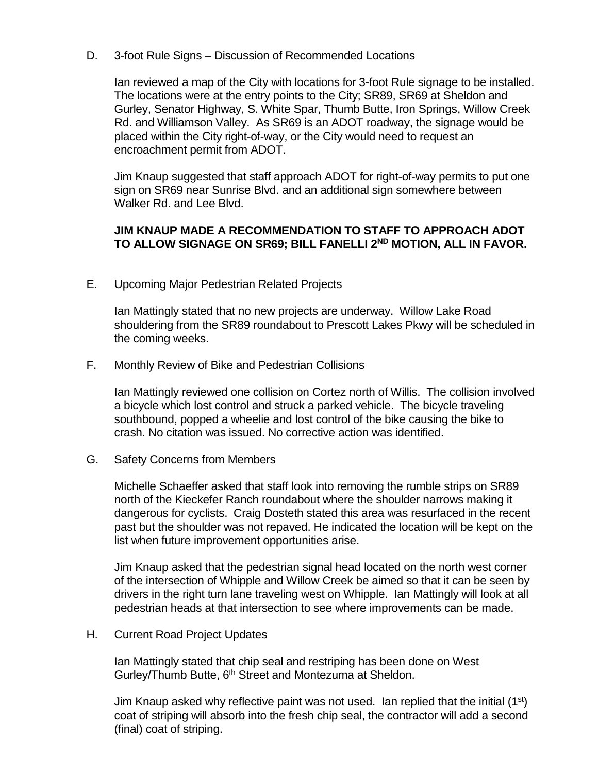D. 3-foot Rule Signs – Discussion of Recommended Locations

Ian reviewed a map of the City with locations for 3-foot Rule signage to be installed. The locations were at the entry points to the City; SR89, SR69 at Sheldon and Gurley, Senator Highway, S. White Spar, Thumb Butte, Iron Springs, Willow Creek Rd. and Williamson Valley. As SR69 is an ADOT roadway, the signage would be placed within the City right-of-way, or the City would need to request an encroachment permit from ADOT.

Jim Knaup suggested that staff approach ADOT for right-of-way permits to put one sign on SR69 near Sunrise Blvd. and an additional sign somewhere between Walker Rd. and Lee Blvd.

## **JIM KNAUP MADE A RECOMMENDATION TO STAFF TO APPROACH ADOT TO ALLOW SIGNAGE ON SR69; BILL FANELLI 2 ND MOTION, ALL IN FAVOR.**

E. Upcoming Major Pedestrian Related Projects

Ian Mattingly stated that no new projects are underway. Willow Lake Road shouldering from the SR89 roundabout to Prescott Lakes Pkwy will be scheduled in the coming weeks.

F. Monthly Review of Bike and Pedestrian Collisions

Ian Mattingly reviewed one collision on Cortez north of Willis. The collision involved a bicycle which lost control and struck a parked vehicle. The bicycle traveling southbound, popped a wheelie and lost control of the bike causing the bike to crash. No citation was issued. No corrective action was identified.

G. Safety Concerns from Members

Michelle Schaeffer asked that staff look into removing the rumble strips on SR89 north of the Kieckefer Ranch roundabout where the shoulder narrows making it dangerous for cyclists. Craig Dosteth stated this area was resurfaced in the recent past but the shoulder was not repaved. He indicated the location will be kept on the list when future improvement opportunities arise.

Jim Knaup asked that the pedestrian signal head located on the north west corner of the intersection of Whipple and Willow Creek be aimed so that it can be seen by drivers in the right turn lane traveling west on Whipple. Ian Mattingly will look at all pedestrian heads at that intersection to see where improvements can be made.

H. Current Road Project Updates

Ian Mattingly stated that chip seal and restriping has been done on West Gurley/Thumb Butte, 6<sup>th</sup> Street and Montezuma at Sheldon.

Jim Knaup asked why reflective paint was not used. Ian replied that the initial  $(1<sup>st</sup>)$ coat of striping will absorb into the fresh chip seal, the contractor will add a second (final) coat of striping.